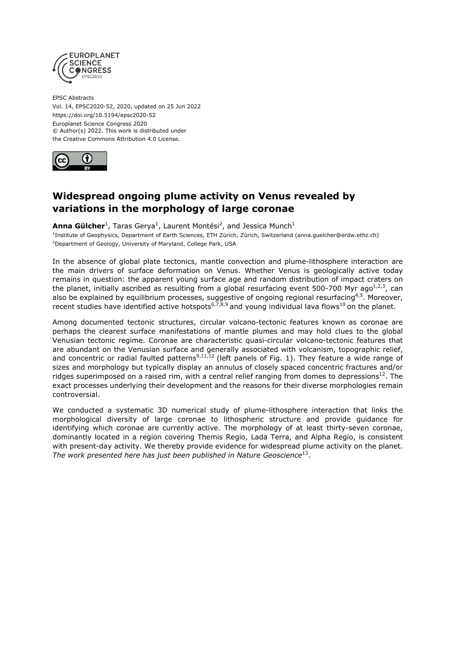

EPSC Abstracts Vol. 14, EPSC2020-52, 2020, updated on 25 Jun 2022 https://doi.org/10.5194/epsc2020-52 Europlanet Science Congress 2020 © Author(s) 2022. This work is distributed under the Creative Commons Attribution 4.0 License.



# **Widespread ongoing plume activity on Venus revealed by variations in the morphology of large coronae**

**Anna Gülcher**<sup>1</sup>, Taras Gerya<sup>1</sup>, Laurent Montési<sup>2</sup>, and Jessica Munch<sup>1</sup>

<sup>1</sup>Institute of Geophysics, Department of Earth Sciences, ETH Zürich, Zürich, Switzerland (anna.guelcher@erdw.ethz.ch) <sup>2</sup>Department of Geology, University of Maryland, College Park, USA

In the absence of global plate tectonics, mantle convection and plume-lithosphere interaction are the main drivers of surface deformation on Venus. Whether Venus is geologically active today remains in question: the apparent young surface age and random distribution of impact craters on the planet, initially ascribed as resulting from a global resurfacing event 500-700 Myr ago $^{1,2,3}$ , can also be explained by equilibrium processes, suggestive of ongoing regional resurfacing<sup>4,5</sup>. Moreover, recent studies have identified active hotspots<sup>6,7,8,9</sup> and young individual lava flows<sup>10</sup> on the planet.

Among documented tectonic structures, circular volcano-tectonic features known as coronae are perhaps the clearest surface manifestations of mantle plumes and may hold clues to the global Venusian tectonic regime. Coronae are characteristic quasi-circular volcano-tectonic features that are abundant on the Venusian surface and generally associated with volcanism, topographic relief, and concentric or radial faulted patterns<sup>9,11,12</sup> (left panels of Fig. 1). They feature a wide range of sizes and morphology but typically display an annulus of closely spaced concentric fractures and/or ridges superimposed on a raised rim, with a central relief ranging from domes to depressions $^{12}$ . The exact processes underlying their development and the reasons for their diverse morphologies remain controversial.

We conducted a systematic 3D numerical study of plume-lithosphere interaction that links the morphological diversity of large coronae to lithospheric structure and provide guidance for identifying which coronae are currently active. The morphology of at least thirty-seven coronae, dominantly located in a region covering Themis Regio, Lada Terra, and Alpha Regio, is consistent with present-day activity. We thereby provide evidence for widespread plume activity on the planet. The work presented here has just been published in Nature Geoscience<sup>13</sup>.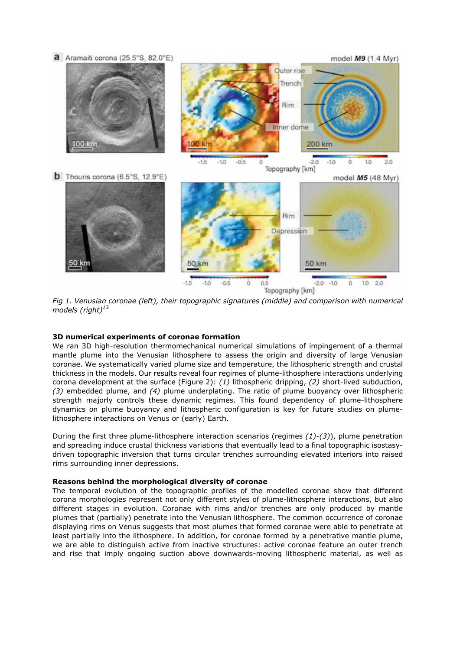

*Fig 1. Venusian coronae (left), their topographic signatures (middle) and comparison with numerical models (right)<sup>13</sup>*

# **3D numerical experiments of coronae formation**

We ran 3D high-resolution thermomechanical numerical simulations of impingement of a thermal mantle plume into the Venusian lithosphere to assess the origin and diversity of large Venusian coronae. We systematically varied plume size and temperature, the lithospheric strength and crustal thickness in the models. Our results reveal four regimes of plume-lithosphere interactions underlying corona development at the surface (Figure 2): *(1)* lithospheric dripping, *(2)* short-lived subduction, *(3)* embedded plume, and *(4)* plume underplating. The ratio of plume buoyancy over lithospheric strength majorly controls these dynamic regimes. This found dependency of plume-lithosphere dynamics on plume buoyancy and lithospheric configuration is key for future studies on plumelithosphere interactions on Venus or (early) Earth.

During the first three plume-lithosphere interaction scenarios (regimes *(1)-(3)*), plume penetration and spreading induce crustal thickness variations that eventually lead to a final topographic isostasydriven topographic inversion that turns circular trenches surrounding elevated interiors into raised rims surrounding inner depressions.

### **Reasons behind the morphological diversity of coronae**

The temporal evolution of the topographic profiles of the modelled coronae show that different corona morphologies represent not only different styles of plume-lithosphere interactions, but also different stages in evolution. Coronae with rims and/or trenches are only produced by mantle plumes that (partially) penetrate into the Venusian lithosphere. The common occurrence of coronae displaying rims on Venus suggests that most plumes that formed coronae were able to penetrate at least partially into the lithosphere. In addition, for coronae formed by a penetrative mantle plume, we are able to distinguish active from inactive structures: active coronae feature an outer trench and rise that imply ongoing suction above downwards-moving lithospheric material, as well as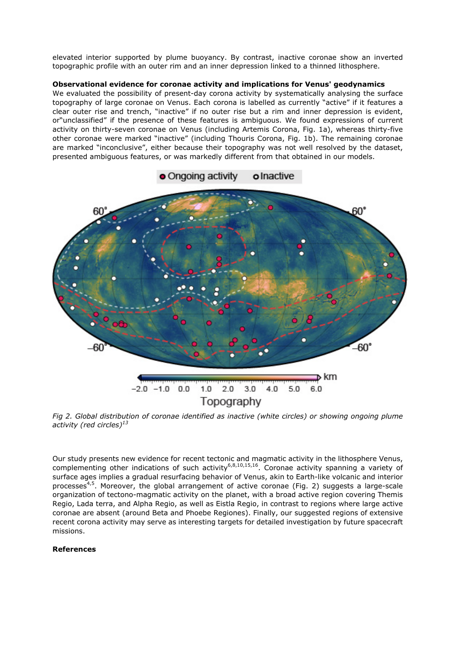elevated interior supported by plume buoyancy. By contrast, inactive coronae show an inverted topographic profile with an outer rim and an inner depression linked to a thinned lithosphere.

# **Observational evidence for coronae activity and implications for Venus' geodynamics**

We evaluated the possibility of present-day corona activity by systematically analysing the surface topography of large coronae on Venus. Each corona is labelled as currently "active" if it features a clear outer rise and trench, "inactive" if no outer rise but a rim and inner depression is evident, or"unclassified" if the presence of these features is ambiguous. We found expressions of current activity on thirty-seven coronae on Venus (including Artemis Corona, Fig. 1a), whereas thirty-five other coronae were marked "inactive" (including Thouris Corona, Fig. 1b). The remaining coronae are marked "inconclusive", either because their topography was not well resolved by the dataset, presented ambiguous features, or was markedly different from that obtained in our models.



*Fig 2. Global distribution of coronae identified as inactive (white circles) or showing ongoing plume activity (red circles)<sup>13</sup>*

Our study presents new evidence for recent tectonic and magmatic activity in the lithosphere Venus, complementing other indications of such activity<sup>6,8,10,15,16</sup>. Coronae activity spanning a variety of surface ages implies a gradual resurfacing behavior of Venus, akin to Earth-like volcanic and interior processes<sup>4,5</sup>. Moreover, the global arrangement of active coronae (Fig. 2) suggests a large-scale organization of tectono-magmatic activity on the planet, with a broad active region covering Themis Regio, Lada terra, and Alpha Regio, as well as Eistla Regio, in contrast to regions where large active coronae are absent (around Beta and Phoebe Regiones). Finally, our suggested regions of extensive recent corona activity may serve as interesting targets for detailed investigation by future spacecraft missions.

# **References**